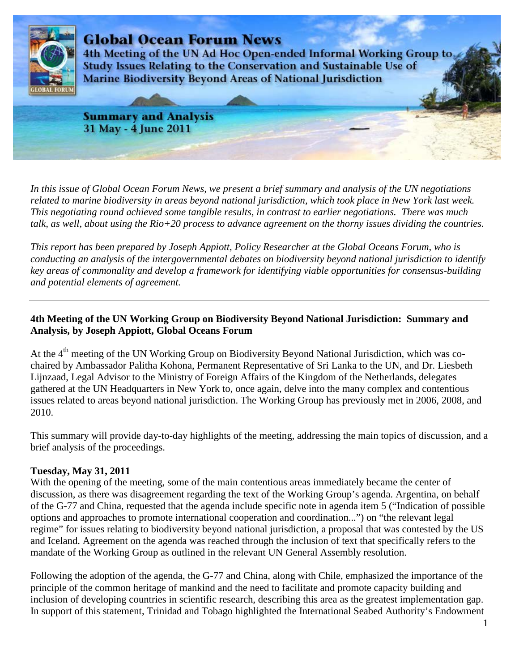

*In this issue of Global Ocean Forum News, we present a brief summary and analysis of the UN negotiations related to marine biodiversity in areas beyond national jurisdiction, which took place in New York last week. This negotiating round achieved some tangible results, in contrast to earlier negotiations. There was much talk, as well, about using the Rio+20 process to advance agreement on the thorny issues dividing the countries.* 

*This report has been prepared by Joseph Appiott, Policy Researcher at the Global Oceans Forum, who is conducting an analysis of the intergovernmental debates on biodiversity beyond national jurisdiction to identify key areas of commonality and develop a framework for identifying viable opportunities for consensus-building and potential elements of agreement.* 

## **4th Meeting of the UN Working Group on Biodiversity Beyond National Jurisdiction: Summary and Analysis, by Joseph Appiott, Global Oceans Forum**

At the 4<sup>th</sup> meeting of the UN Working Group on Biodiversity Beyond National Jurisdiction, which was cochaired by Ambassador Palitha Kohona, Permanent Representative of Sri Lanka to the UN, and Dr. Liesbeth Lijnzaad, Legal Advisor to the Ministry of Foreign Affairs of the Kingdom of the Netherlands, delegates gathered at the UN Headquarters in New York to, once again, delve into the many complex and contentious issues related to areas beyond national jurisdiction. The Working Group has previously met in 2006, 2008, and 2010.

This summary will provide day-to-day highlights of the meeting, addressing the main topics of discussion, and a brief analysis of the proceedings.

### **Tuesday, May 31, 2011**

With the opening of the meeting, some of the main contentious areas immediately became the center of discussion, as there was disagreement regarding the text of the Working Group's agenda. Argentina, on behalf of the G-77 and China, requested that the agenda include specific note in agenda item 5 ("Indication of possible options and approaches to promote international cooperation and coordination...") on "the relevant legal regime" for issues relating to biodiversity beyond national jurisdiction, a proposal that was contested by the US and Iceland. Agreement on the agenda was reached through the inclusion of text that specifically refers to the mandate of the Working Group as outlined in the relevant UN General Assembly resolution.

Following the adoption of the agenda, the G-77 and China, along with Chile, emphasized the importance of the principle of the common heritage of mankind and the need to facilitate and promote capacity building and inclusion of developing countries in scientific research, describing this area as the greatest implementation gap. In support of this statement, Trinidad and Tobago highlighted the International Seabed Authority's Endowment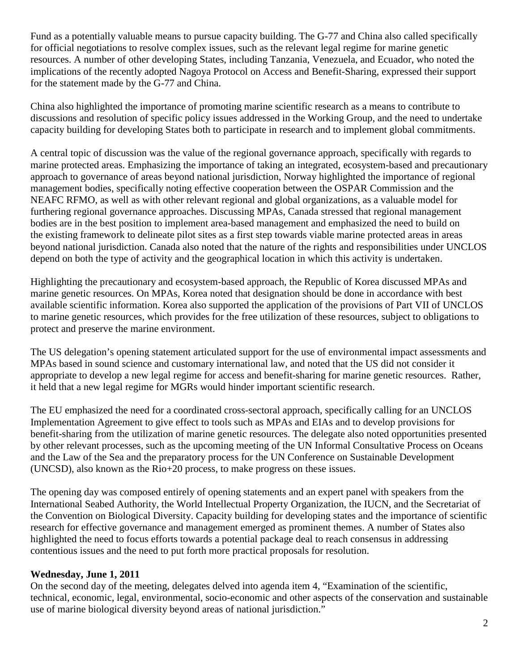Fund as a potentially valuable means to pursue capacity building. The G-77 and China also called specifically for official negotiations to resolve complex issues, such as the relevant legal regime for marine genetic resources. A number of other developing States, including Tanzania, Venezuela, and Ecuador, who noted the implications of the recently adopted Nagoya Protocol on Access and Benefit-Sharing, expressed their support for the statement made by the G-77 and China.

China also highlighted the importance of promoting marine scientific research as a means to contribute to discussions and resolution of specific policy issues addressed in the Working Group, and the need to undertake capacity building for developing States both to participate in research and to implement global commitments.

A central topic of discussion was the value of the regional governance approach, specifically with regards to marine protected areas. Emphasizing the importance of taking an integrated, ecosystem-based and precautionary approach to governance of areas beyond national jurisdiction, Norway highlighted the importance of regional management bodies, specifically noting effective cooperation between the OSPAR Commission and the NEAFC RFMO, as well as with other relevant regional and global organizations, as a valuable model for furthering regional governance approaches. Discussing MPAs, Canada stressed that regional management bodies are in the best position to implement area-based management and emphasized the need to build on the existing framework to delineate pilot sites as a first step towards viable marine protected areas in areas beyond national jurisdiction. Canada also noted that the nature of the rights and responsibilities under UNCLOS depend on both the type of activity and the geographical location in which this activity is undertaken.

Highlighting the precautionary and ecosystem-based approach, the Republic of Korea discussed MPAs and marine genetic resources. On MPAs, Korea noted that designation should be done in accordance with best available scientific information. Korea also supported the application of the provisions of Part VII of UNCLOS to marine genetic resources, which provides for the free utilization of these resources, subject to obligations to protect and preserve the marine environment.

The US delegation's opening statement articulated support for the use of environmental impact assessments and MPAs based in sound science and customary international law, and noted that the US did not consider it appropriate to develop a new legal regime for access and benefit-sharing for marine genetic resources. Rather, it held that a new legal regime for MGRs would hinder important scientific research.

The EU emphasized the need for a coordinated cross-sectoral approach, specifically calling for an UNCLOS Implementation Agreement to give effect to tools such as MPAs and EIAs and to develop provisions for benefit-sharing from the utilization of marine genetic resources. The delegate also noted opportunities presented by other relevant processes, such as the upcoming meeting of the UN Informal Consultative Process on Oceans and the Law of the Sea and the preparatory process for the UN Conference on Sustainable Development (UNCSD), also known as the Rio+20 process, to make progress on these issues.

The opening day was composed entirely of opening statements and an expert panel with speakers from the International Seabed Authority, the World Intellectual Property Organization, the IUCN, and the Secretariat of the Convention on Biological Diversity. Capacity building for developing states and the importance of scientific research for effective governance and management emerged as prominent themes. A number of States also highlighted the need to focus efforts towards a potential package deal to reach consensus in addressing contentious issues and the need to put forth more practical proposals for resolution.

### **Wednesday, June 1, 2011**

On the second day of the meeting, delegates delved into agenda item 4, "Examination of the scientific, technical, economic, legal, environmental, socio-economic and other aspects of the conservation and sustainable use of marine biological diversity beyond areas of national jurisdiction."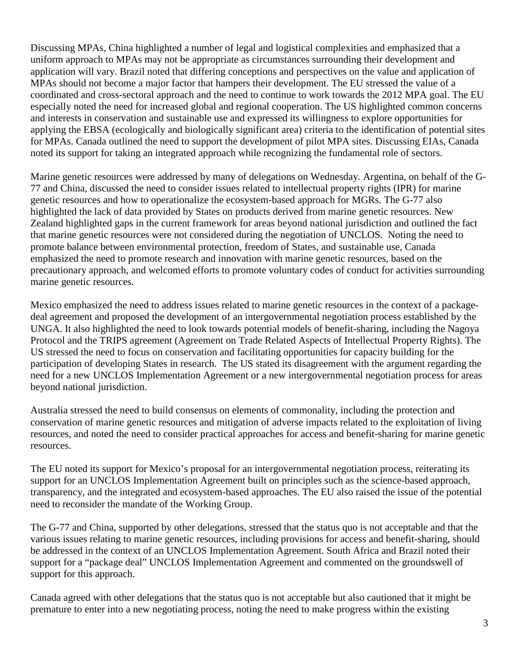Discussing MPAs, China highlighted a number of legal and logistical complexities and emphasized that a uniform approach to MPAs may not be appropriate as circumstances surrounding their development and application will vary. Brazil noted that differing conceptions and perspectives on the value and application of MPAs should not become a major factor that hampers their development. The EU stressed the value of a coordinated and cross-sectoral approach and the need to continue to work towards the 2012 MPA goal. The EU especially noted the need for increased global and regional cooperation. The US highlighted common concerns and interests in conservation and sustainable use and expressed its willingness to explore opportunities for applying the EBSA (ecologically and biologically significant area) criteria to the identification of potential sites for MPAs. Canada outlined the need to support the development of pilot MPA sites. Discussing EIAs, Canada noted its support for taking an integrated approach while recognizing the fundamental role of sectors.

Marine genetic resources were addressed by many of delegations on Wednesday. Argentina, on behalf of the G-77 and China, discussed the need to consider issues related to intellectual property rights (IPR) for marine genetic resources and how to operationalize the ecosystem-based approach for MGRs. The G-77 also highlighted the lack of data provided by States on products derived from marine genetic resources. New Zealand highlighted gaps in the current framework for areas beyond national jurisdiction and outlined the fact that marine genetic resources were not considered during the negotiation of UNCLOS. Noting the need to promote balance between environmental protection, freedom of States, and sustainable use, Canada emphasized the need to promote research and innovation with marine genetic resources, based on the precautionary approach, and welcomed efforts to promote voluntary codes of conduct for activities surrounding marine genetic resources.

Mexico emphasized the need to address issues related to marine genetic resources in the context of a packagedeal agreement and proposed the development of an intergovernmental negotiation process established by the UNGA. It also highlighted the need to look towards potential models of benefit-sharing, including the Nagoya Protocol and the TRIPS agreement (Agreement on Trade Related Aspects of Intellectual Property Rights). The US stressed the need to focus on conservation and facilitating opportunities for capacity building for the participation of developing States in research. The US stated its disagreement with the argument regarding the need for a new UNCLOS Implementation Agreement or a new intergovernmental negotiation process for areas beyond national jurisdiction.

Australia stressed the need to build consensus on elements of commonality, including the protection and conservation of marine genetic resources and mitigation of adverse impacts related to the exploitation of living resources, and noted the need to consider practical approaches for access and benefit-sharing for marine genetic resources.

The EU noted its support for Mexico's proposal for an intergovernmental negotiation process, reiterating its support for an UNCLOS Implementation Agreement built on principles such as the science-based approach, transparency, and the integrated and ecosystem-based approaches. The EU also raised the issue of the potential need to reconsider the mandate of the Working Group.

The G-77 and China, supported by other delegations, stressed that the status quo is not acceptable and that the various issues relating to marine genetic resources, including provisions for access and benefit-sharing, should be addressed in the context of an UNCLOS Implementation Agreement. South Africa and Brazil noted their support for a "package deal" UNCLOS Implementation Agreement and commented on the groundswell of support for this approach.

Canada agreed with other delegations that the status quo is not acceptable but also cautioned that it might be premature to enter into a new negotiating process, noting the need to make progress within the existing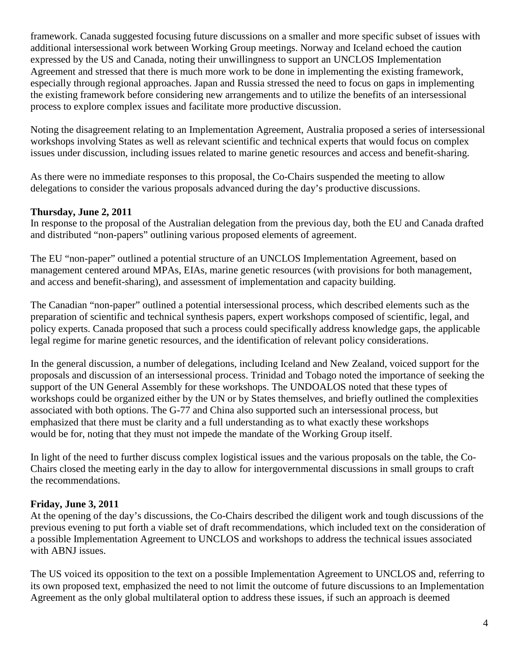framework. Canada suggested focusing future discussions on a smaller and more specific subset of issues with additional intersessional work between Working Group meetings. Norway and Iceland echoed the caution expressed by the US and Canada, noting their unwillingness to support an UNCLOS Implementation Agreement and stressed that there is much more work to be done in implementing the existing framework, especially through regional approaches. Japan and Russia stressed the need to focus on gaps in implementing the existing framework before considering new arrangements and to utilize the benefits of an intersessional process to explore complex issues and facilitate more productive discussion.

Noting the disagreement relating to an Implementation Agreement, Australia proposed a series of intersessional workshops involving States as well as relevant scientific and technical experts that would focus on complex issues under discussion, including issues related to marine genetic resources and access and benefit-sharing.

As there were no immediate responses to this proposal, the Co-Chairs suspended the meeting to allow delegations to consider the various proposals advanced during the day's productive discussions.

### **Thursday, June 2, 2011**

In response to the proposal of the Australian delegation from the previous day, both the EU and Canada drafted and distributed "non-papers" outlining various proposed elements of agreement.

The EU "non-paper" outlined a potential structure of an UNCLOS Implementation Agreement, based on management centered around MPAs, EIAs, marine genetic resources (with provisions for both management, and access and benefit-sharing), and assessment of implementation and capacity building.

The Canadian "non-paper" outlined a potential intersessional process, which described elements such as the preparation of scientific and technical synthesis papers, expert workshops composed of scientific, legal, and policy experts. Canada proposed that such a process could specifically address knowledge gaps, the applicable legal regime for marine genetic resources, and the identification of relevant policy considerations.

In the general discussion, a number of delegations, including Iceland and New Zealand, voiced support for the proposals and discussion of an intersessional process. Trinidad and Tobago noted the importance of seeking the support of the UN General Assembly for these workshops. The UNDOALOS noted that these types of workshops could be organized either by the UN or by States themselves, and briefly outlined the complexities associated with both options. The G-77 and China also supported such an intersessional process, but emphasized that there must be clarity and a full understanding as to what exactly these workshops would be for, noting that they must not impede the mandate of the Working Group itself.

In light of the need to further discuss complex logistical issues and the various proposals on the table, the Co-Chairs closed the meeting early in the day to allow for intergovernmental discussions in small groups to craft the recommendations.

### **Friday, June 3, 2011**

At the opening of the day's discussions, the Co-Chairs described the diligent work and tough discussions of the previous evening to put forth a viable set of draft recommendations, which included text on the consideration of a possible Implementation Agreement to UNCLOS and workshops to address the technical issues associated with ABNJ issues.

The US voiced its opposition to the text on a possible Implementation Agreement to UNCLOS and, referring to its own proposed text, emphasized the need to not limit the outcome of future discussions to an Implementation Agreement as the only global multilateral option to address these issues, if such an approach is deemed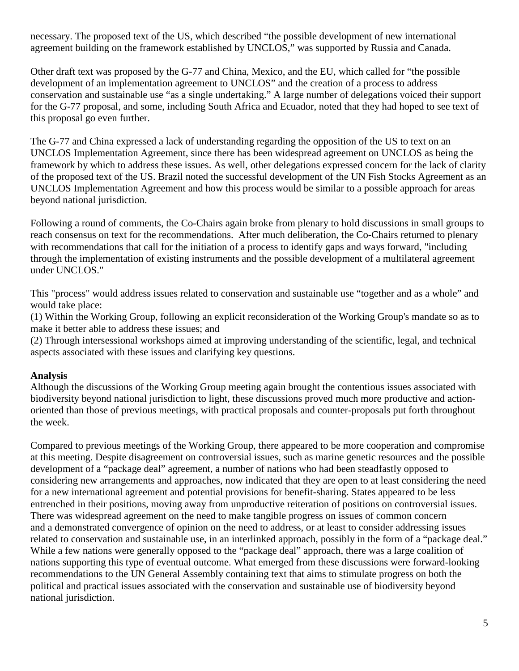necessary. The proposed text of the US, which described "the possible development of new international agreement building on the framework established by UNCLOS," was supported by Russia and Canada.

Other draft text was proposed by the G-77 and China, Mexico, and the EU, which called for "the possible development of an implementation agreement to UNCLOS" and the creation of a process to address conservation and sustainable use "as a single undertaking." A large number of delegations voiced their support for the G-77 proposal, and some, including South Africa and Ecuador, noted that they had hoped to see text of this proposal go even further.

The G-77 and China expressed a lack of understanding regarding the opposition of the US to text on an UNCLOS Implementation Agreement, since there has been widespread agreement on UNCLOS as being the framework by which to address these issues. As well, other delegations expressed concern for the lack of clarity of the proposed text of the US. Brazil noted the successful development of the UN Fish Stocks Agreement as an UNCLOS Implementation Agreement and how this process would be similar to a possible approach for areas beyond national jurisdiction.

Following a round of comments, the Co-Chairs again broke from plenary to hold discussions in small groups to reach consensus on text for the recommendations. After much deliberation, the Co-Chairs returned to plenary with recommendations that call for the initiation of a process to identify gaps and ways forward, "including through the implementation of existing instruments and the possible development of a multilateral agreement under UNCLOS."

This "process" would address issues related to conservation and sustainable use "together and as a whole" and would take place:

(1) Within the Working Group, following an explicit reconsideration of the Working Group's mandate so as to make it better able to address these issues; and

(2) Through intersessional workshops aimed at improving understanding of the scientific, legal, and technical aspects associated with these issues and clarifying key questions.

# **Analysis**

Although the discussions of the Working Group meeting again brought the contentious issues associated with biodiversity beyond national jurisdiction to light, these discussions proved much more productive and actionoriented than those of previous meetings, with practical proposals and counter-proposals put forth throughout the week.

Compared to previous meetings of the Working Group, there appeared to be more cooperation and compromise at this meeting. Despite disagreement on controversial issues, such as marine genetic resources and the possible development of a "package deal" agreement, a number of nations who had been steadfastly opposed to considering new arrangements and approaches, now indicated that they are open to at least considering the need for a new international agreement and potential provisions for benefit-sharing. States appeared to be less entrenched in their positions, moving away from unproductive reiteration of positions on controversial issues. There was widespread agreement on the need to make tangible progress on issues of common concern and a demonstrated convergence of opinion on the need to address, or at least to consider addressing issues related to conservation and sustainable use, in an interlinked approach, possibly in the form of a "package deal." While a few nations were generally opposed to the "package deal" approach, there was a large coalition of nations supporting this type of eventual outcome. What emerged from these discussions were forward-looking recommendations to the UN General Assembly containing text that aims to stimulate progress on both the political and practical issues associated with the conservation and sustainable use of biodiversity beyond national jurisdiction.